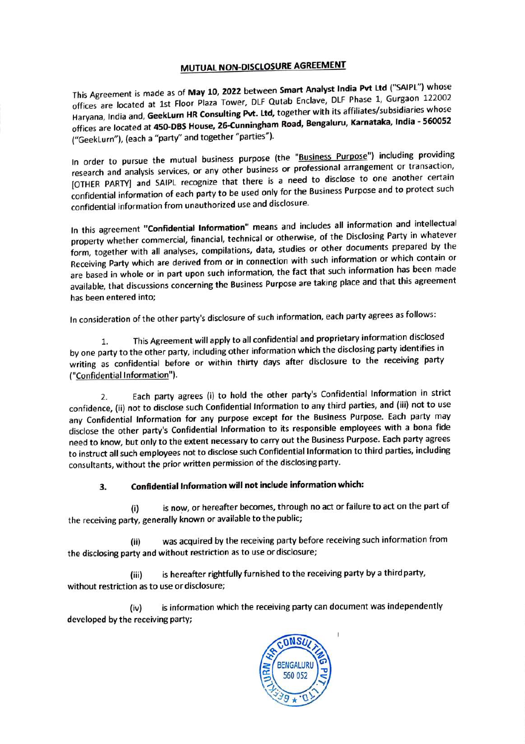## MUTUAL NON-DISCLOSURE AGREEMENT

This Agreement is made as of May 10, 2022 between Smart Analyst India Pvt Ltd ("SAIPL") whose offices are located at 1st Floor Plaza Tower, DLF Qutab Enclave, DLF Phase 1, Gurgaon <sup>122002</sup> Haryana, India and, GeekLurn HR Consulting Pvt. Ltd, together with its affiliates/subsidiaries whose offices are located at 450-DBS House, 26-Cunningham Road, Bengaluru, Karnataka, India - 560052 ("GeekLurn"), (each a "party" and together "parties").

In order to pursue the mutual business purpose (the "Business Purpose") including providing research and analysis services, or any other business or professional arrangement or transaction, [OTHER PARTY] and SAIPL recognize that there is a need to disclose to one another certain confidential information of each party to be used only for the Business Purpose and to protect such confidential information from unauthorized use and disclosure.

In this agreement "Confidential Information" means and includes all information and intellectual property whether commercial, financial, technical or otherwise, of the Disclosing Party in whatever form, together with all analyses, compilations, data, studies or other documents prepared by the Receiving Party which are derived from or in connection with such information or which contain or are based in whole or in part upon such information, the fact that such information has been made available, that discussions concerning the Business Purpose are taking place and that this agreement has been entered into;

In consideration of the other party's disclosure of such information, each party agrees as follows:

1. This Agreement will apply to all confidential and proprietary information disclosed by one party to the other party, including other information which the disclosing party identifies in writing as confidential before or within thirty days after disclosure to the receiving party ("Confidential Information").

2. Each party agrees (i) to hold the other party's Confidential Information in strict confidence, (ii) not to disclose such Confidential Information to any third parties, and (ii) not to use any Confidential Information for any purpose except for the Business Purpose. Each party may disclose the other party's Confidential Information to its responsible employees with a bona fide need to know, but only to the extent necessary to carry out the Business Purpose. Each party agrees to instruct all such employees not to disclose such Confidential Information to third parties, including consultants, without the prior written permission of the disclosing party.

## 3. Confidential Information will not include information which:

(i) is now, or hereafter becomes, through no act or failure to act on the part of the receiving party, generally known or available to the public;

(ii) was acquired by the receiving party before receiving such information from the disclosing party and without restriction as to use or disclosure;

(iii) is hereafter rightfully furnished to the receiving party by a third party, without restriction as to use or disclosure;

(iv) is information which the receiving party can document was independently developed by the receiving party;